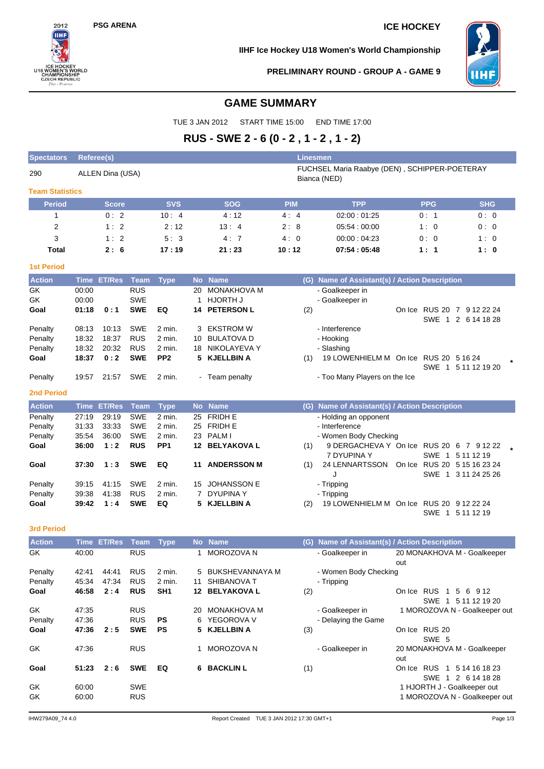# **PSG ARENA ICE HOCKEY**



**IIHF Ice Hockey U18 Women's World Championship**



**PRELIMINARY ROUND - GROUP A - GAME 9**

# **GAME SUMMARY**

TUE 3 JAN 2012 START TIME 15:00 END TIME 17:00

# **RUS - SWE 2 - 6 (0 - 2 , 1 - 2 , 1 - 2)**

| <b>Spectators</b>      | <b>Referee(s)</b>                                                                 |                    |                   |                 |             |                               | <b>Linesmen</b> |                                                         |     |                        |                                                              |
|------------------------|-----------------------------------------------------------------------------------|--------------------|-------------------|-----------------|-------------|-------------------------------|-----------------|---------------------------------------------------------|-----|------------------------|--------------------------------------------------------------|
| 290                    | FUCHSEL Maria Raabye (DEN), SCHIPPER-POETERAY<br>ALLEN Dina (USA)<br>Bianca (NED) |                    |                   |                 |             |                               |                 |                                                         |     |                        |                                                              |
| <b>Team Statistics</b> |                                                                                   |                    |                   |                 |             |                               |                 |                                                         |     |                        |                                                              |
| <b>Period</b>          |                                                                                   | Score              |                   | <b>SVS</b>      |             | <b>SOG</b>                    | <b>PIM</b>      | <b>TPP</b>                                              |     | <b>PPG</b>             | <b>SHG</b>                                                   |
| 1                      |                                                                                   | 0:2                |                   | 10:4            |             | 4:12                          | 4:4             | 02:00:01:25                                             |     | 0: 1                   | 0:0                                                          |
| 2                      |                                                                                   | 1:2                |                   | 2:12            |             | 13:4                          | 2:8             | 05:54:00:00                                             |     | 1:0                    | 0:0                                                          |
| 3                      |                                                                                   | 1:2                |                   | 5:3             |             | 4:7                           | 4:0             | 00.00:04.23                                             |     | 0:0                    | 1:0                                                          |
| <b>Total</b>           |                                                                                   | 2:6                |                   | 17:19           |             | 21:23                         | 10:12           | 07:54:05:48                                             |     | 1:1                    | 1:0                                                          |
| <b>1st Period</b>      |                                                                                   |                    |                   |                 |             |                               |                 |                                                         |     |                        |                                                              |
| <b>Action</b>          | <b>Time</b>                                                                       | <b>ET/Res</b>      | <b>Team</b>       | <b>Type</b>     | <b>No</b>   | <b>Name</b>                   | (G)             | Name of Assistant(s) / Action Description               |     |                        |                                                              |
| GK                     | 00:00                                                                             |                    | <b>RUS</b>        |                 | 20          | MONAKHOVA M                   |                 | - Goalkeeper in                                         |     |                        |                                                              |
| GK                     | 00:00                                                                             |                    | <b>SWE</b>        | EQ              | 1           | HJORTH J<br><b>PETERSON L</b> |                 | - Goalkeeper in                                         |     |                        |                                                              |
| Goal                   | 01:18                                                                             | 0:1                | <b>SWE</b>        |                 | 14          |                               | (2)             |                                                         |     |                        | On Ice RUS 20 7 9 12 22 24<br>SWE 1 2 6 14 18 28             |
| Penalty                | 08:13                                                                             | 10:13              | <b>SWE</b>        | 2 min.          | 3           | EKSTROM W                     |                 | - Interference                                          |     |                        |                                                              |
| Penalty                | 18:32                                                                             | 18:37              | <b>RUS</b>        | 2 min.          | 10          | <b>BULATOVA D</b>             |                 | - Hooking                                               |     |                        |                                                              |
| Penalty                | 18:32                                                                             | 20:32              | <b>RUS</b>        | 2 min.          | 18          | NIKOLAYEVA Y                  |                 | - Slashing                                              |     |                        |                                                              |
| Goal                   | 18:37                                                                             | 0:2                | <b>SWE</b>        | PP <sub>2</sub> | 5.          | <b>KJELLBIN A</b>             | (1)             | 19 LOWENHIELM M On Ice RUS 20 5 16 24                   |     |                        |                                                              |
| Penalty                | 19:57                                                                             | 21:57              | <b>SWE</b>        | 2 min.          |             | - Team penalty                |                 | - Too Many Players on the Ice                           |     |                        | SWE 1 5 11 12 19 20                                          |
| <b>2nd Period</b>      |                                                                                   |                    |                   |                 |             |                               |                 |                                                         |     |                        |                                                              |
| <b>Action</b>          | <b>Time</b>                                                                       | <b>ET/Res</b>      | <b>Team</b>       | <b>Type</b>     | <b>No</b>   | <b>Name</b>                   | (G)             | Name of Assistant(s) / Action Description               |     |                        |                                                              |
| Penalty                | 27:19                                                                             | 29:19              | <b>SWE</b>        | 2 min.          | 25          | <b>FRIDH E</b>                |                 | - Holding an opponent                                   |     |                        |                                                              |
| Penalty                | 31:33                                                                             | 33:33              | <b>SWE</b>        | 2 min.          |             | 25 FRIDH E                    |                 | - Interference                                          |     |                        |                                                              |
| Penalty                | 35:54                                                                             | 36:00              | <b>SWE</b>        | 2 min.          |             | 23 PALM I                     |                 | - Women Body Checking                                   |     |                        |                                                              |
| Goal                   | 36:00                                                                             | 1:2                | <b>RUS</b>        | PP <sub>1</sub> |             | 12 BELYAKOVA L                | (1)             | 9 DERGACHEVA Y On Ice RUS 20 6 7 9 12 22<br>7 DYUPINA Y |     |                        | SWE 1 5 11 12 19                                             |
| Goal                   | 37:30                                                                             | 1:3                | <b>SWE</b>        | EQ              | 11          | <b>ANDERSSON M</b>            | (1)             | 24 LENNARTSSON On Ice RUS 20 5 15 16 23 24<br>. I       |     |                        | SWE 1 3 11 24 25 26                                          |
| Penalty                | 39:15                                                                             | 41:15              | SWE               | 2 min.          | 15          | <b>JOHANSSON E</b>            |                 | - Tripping                                              |     |                        |                                                              |
| Penalty                | 39:38                                                                             | 41:38              | <b>RUS</b>        | 2 min.          | $7^{\circ}$ | <b>DYUPINAY</b>               |                 | - Tripping                                              |     |                        |                                                              |
| Goal                   | 39:42                                                                             | 1:4                | <b>SWE</b>        | EQ              |             | 5 KJELLBIN A                  | (2)             | 19 LOWENHIELM M On Ice RUS 20 9 12 22 24                |     |                        | SWE 1 5 11 12 19                                             |
| <b>3rd Period</b>      |                                                                                   |                    |                   |                 |             |                               |                 |                                                         |     |                        |                                                              |
| <b>Action</b>          |                                                                                   | <b>Time ET/Res</b> | <b>Team</b>       | <b>Type</b>     |             | No Name                       |                 | (G) Name of Assistant(s) / Action Description           |     |                        |                                                              |
| GK                     | 40:00                                                                             |                    | <b>RUS</b>        |                 | 1.          | MOROZOVA N                    |                 | - Goalkeeper in                                         | out |                        | 20 MONAKHOVA M - Goalkeeper                                  |
| Penalty                | 42:41                                                                             | 44:41              | <b>RUS</b>        | 2 min.          |             | 5 BUKSHEVANNAYA M             |                 | - Women Body Checking                                   |     |                        |                                                              |
| Penalty                | 45:34                                                                             | 47:34              | <b>RUS</b>        | 2 min.          | 11          | SHIBANOVA T                   |                 | - Tripping                                              |     |                        |                                                              |
| Goal                   | 46:58                                                                             | 2:4                | <b>RUS</b>        | SH <sub>1</sub> |             | 12 BELYAKOVA L                | (2)             |                                                         |     |                        | On Ice RUS 1 5 6 9 12<br>SWE 1 5 11 12 19 20                 |
| GK                     | 47:35                                                                             |                    | <b>RUS</b>        |                 |             | 20 MONAKHOVA M                |                 | - Goalkeeper in                                         |     |                        | 1 MOROZOVA N - Goalkeeper out                                |
| Penalty                | 47:36                                                                             |                    | <b>RUS</b>        | <b>PS</b>       | 6           | YEGOROVA V                    |                 | - Delaying the Game                                     |     |                        |                                                              |
| Goal                   | 47:36                                                                             | 2:5                | <b>SWE</b>        | PS              | 5           | <b>KJELLBIN A</b>             | (3)             |                                                         |     | On Ice RUS 20<br>SWE 5 |                                                              |
| GK                     | 47:36                                                                             |                    | <b>RUS</b>        |                 | 1.          | MOROZOVA N                    |                 | - Goalkeeper in                                         | out |                        | 20 MONAKHOVA M - Goalkeeper                                  |
| Goal                   | 51:23                                                                             | 2:6                | <b>SWE</b>        | EQ              |             | <b>6 BACKLIN L</b>            | (1)             |                                                         |     |                        | On Ice RUS 1 5 14 16 18 23<br>SWE 1 2 6 14 18 28             |
| GK<br>GK               | 60:00<br>60:00                                                                    |                    | SWE<br><b>RUS</b> |                 |             |                               |                 |                                                         |     |                        | 1 HJORTH J - Goalkeeper out<br>1 MOROZOVA N - Goalkeeper out |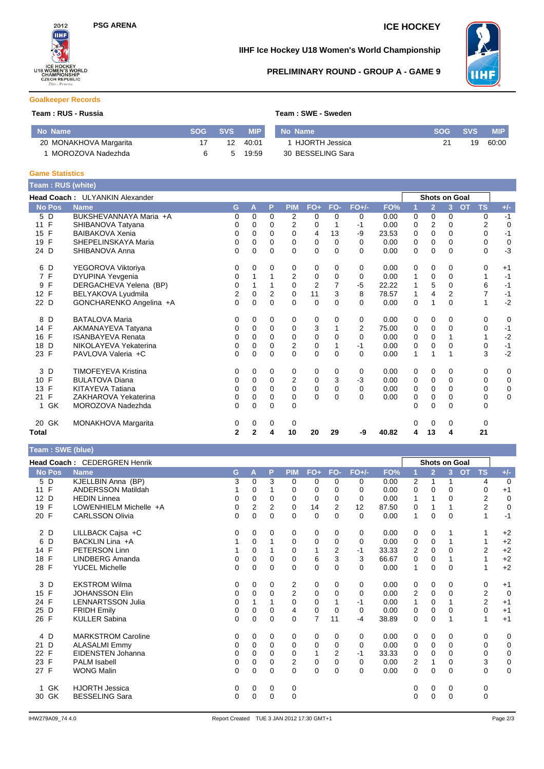

## **IIHF Ice Hockey U18 Women's World Championship**



## **PRELIMINARY ROUND - GROUP A - GAME 9**

## **Goalkeeper Records**

## **Team : RUS - Russia Team : SWE - Sweden**

| No Name                | <b>SOG</b> | <b>SVS</b> | <b>MIP</b> | No Name           | SOG SVS | <b>MIP</b> |
|------------------------|------------|------------|------------|-------------------|---------|------------|
| 20 MONAKHOVA Margarita |            | 12         | 40:01      | 1 HJORTH Jessica  | 19      | 60:00      |
| 1 MOROZOVA Nadezhda    |            | 5          | 19:59      | 30 BESSELING Sara |         |            |

#### **Game Statistics**

Г

| Team: RUS (white)              |                                       |              |              |                |                         |                |             |          |       |          |                      |                |           |             |             |
|--------------------------------|---------------------------------------|--------------|--------------|----------------|-------------------------|----------------|-------------|----------|-------|----------|----------------------|----------------|-----------|-------------|-------------|
|                                | <b>Head Coach: ULYANKIN Alexander</b> |              |              |                |                         |                |             |          |       |          | <b>Shots on Goal</b> |                |           |             |             |
| <b>No Pos</b>                  | <b>Name</b>                           | G            | A            | P              | <b>PIM</b>              | FO+            | FO-         | $FO+/-$  | FO%   | 1        | $\overline{2}$       | $\overline{3}$ | <b>OT</b> | <b>TS</b>   | $+/-$       |
| 5 D                            | BUKSHEVANNAYA Maria +A                | 0            | 0            | $\Omega$       | $\overline{2}$          | 0              | $\Omega$    | 0        | 0.00  | $\Omega$ | $\Omega$             | 0              |           | 0           | $-1$        |
| $\mathsf{F}$<br>11             | SHIBANOVA Tatvana                     | 0            | 0            | 0              | 2                       | 0              |             | $-1$     | 0.00  | 0        | $\overline{2}$       | 0              |           | 2           | $\mathbf 0$ |
| F<br>15                        | <b>BAIBAKOVA Xenia</b>                | 0            | 0            | $\Omega$       | 0                       | 4              | 13          | -9       | 23.53 | 0        | $\Omega$             | $\Omega$       |           | 0           | $-1$        |
| F<br>19                        | SHEPELINSKAYA Maria                   | 0            | 0            | $\Omega$       | $\mathbf 0$             | 0              | $\Omega$    | 0        | 0.00  | 0        | $\mathbf 0$          | 0              |           | 0           | $\mathbf 0$ |
| 24 D                           | SHIBANOVA Anna                        | $\Omega$     | $\Omega$     | $\Omega$       | $\Omega$                | $\Omega$       | $\Omega$    | 0        | 0.00  | $\Omega$ | $\Omega$             | $\Omega$       |           | $\Omega$    | $-3$        |
| D<br>6                         | YEGOROVA Viktoriya                    | 0            | 0            | 0              | 0                       | 0              | $\Omega$    | 0        | 0.00  | 0        | 0                    | 0              |           | 0           | $+1$        |
| $\mathsf{F}$<br>$\overline{7}$ | DYUPINA Yevgenia                      | 0            |              |                | $\overline{2}$          | 0              | $\mathbf 0$ | 0        | 0.00  |          | $\mathbf 0$          | 0              |           | 1           | $-1$        |
| F<br>9                         | DERGACHEVA Yelena (BP)                | 0            |              |                | $\mathbf 0$             | $\overline{2}$ |             | $-5$     | 22.22 |          | 5                    | 0              |           | 6           | $-1$        |
| F<br>12                        | BELYAKOVA Lyudmila                    | 2            | 0            | $\overline{2}$ | $\mathbf 0$             | 11             | 3           | 8        | 78.57 |          | 4                    | $\overline{2}$ |           | 7           | $-1$        |
| 22 D                           | GONCHARENKO Angelina +A               | $\Omega$     | 0            | $\Omega$       | $\Omega$                | $\mathbf 0$    | $\Omega$    | 0        | 0.00  | $\Omega$ | 1                    | $\Omega$       |           | 1           | $-2$        |
| 8<br>D                         | <b>BATALOVA Maria</b>                 | 0            | 0            | 0              | 0                       | 0              | 0           | 0        | 0.00  | 0        | 0                    | 0              |           | 0           | 0           |
| 14 F                           | AKMANAYEVA Tatyana                    | 0            | 0            | 0              | 0                       | 3              |             | 2        | 75.00 | 0        | $\mathbf 0$          | 0              |           | 0           | $-1$        |
| $\mathsf{F}$<br>16             | <b>ISANBAYEVA Renata</b>              | 0            | $\Omega$     | $\Omega$       | 0                       | 0              | $\Omega$    | $\Omega$ | 0.00  | 0        | $\Omega$             |                |           | 1           | $-2$        |
| D<br>18                        | NIKOLAYEVA Yekaterina                 | 0            | 0            | $\mathbf 0$    | $\overline{2}$          | 0              |             | $-1$     | 0.00  | 0        | $\mathbf 0$          | 0              |           | 0           | $-1$        |
| 23 F                           | PAVLOVA Valeria +C                    | $\Omega$     | $\Omega$     | $\Omega$       | $\Omega$                | $\Omega$       | $\Omega$    | 0        | 0.00  | 1        | 1                    |                |           | 3           | $-2$        |
| 3<br>D                         | <b>TIMOFEYEVA Kristina</b>            | 0            | 0            | 0              | 0                       | 0              | 0           | 0        | 0.00  | 0        | 0                    | 0              |           | 0           | 0           |
| F<br>10                        | <b>BULATOVA Diana</b>                 | 0            | 0            | 0              | $\overline{\mathbf{c}}$ | 0              | 3           | $-3$     | 0.00  | 0        | $\mathbf 0$          | 0              |           | 0           | 0           |
| $\mathsf{F}$<br>13             | <b>KITAYEVA Tatiana</b>               | 0            | 0            | $\Omega$       | $\Omega$                | 0              | $\Omega$    | 0        | 0.00  | $\Omega$ | $\Omega$             | $\Omega$       |           | 0           | $\mathbf 0$ |
| F<br>21                        | ZAKHAROVA Yekaterina                  | 0            | 0            | 0              | 0                       | 0              | $\Omega$    | $\Omega$ | 0.00  | 0        | $\mathbf 0$          | 0              |           | 0           | $\mathbf 0$ |
| 1 GK                           | MOROZOVA Nadezhda                     | 0            | $\Omega$     | $\Omega$       | $\Omega$                |                |             |          |       | 0        | $\Omega$             | $\Omega$       |           | $\mathbf 0$ |             |
| 20 GK                          | MONAKHOVA Margarita                   | 0            | 0            | 0              | 0                       |                |             |          |       | O        | 0                    | 0              |           | 0           |             |
| Total                          |                                       | $\mathbf{2}$ | $\mathbf{2}$ | 4              | 10                      | 20             | 29          | -9       | 40.82 | 4        | 13                   | 4              |           | 21          |             |

| Team: SWE (blue) |                                     |              |              |                |                |                |                |          |       |                         |                |                      |                        |                |
|------------------|-------------------------------------|--------------|--------------|----------------|----------------|----------------|----------------|----------|-------|-------------------------|----------------|----------------------|------------------------|----------------|
|                  | <b>Head Coach: CEDERGREN Henrik</b> |              |              |                |                |                |                |          |       |                         |                | <b>Shots on Goal</b> |                        |                |
| No Pos           | <b>Name</b>                         | G            | A            | P              | <b>PIM</b>     | $FO+$          | FO-            | $FO+/-$  | FO%   | 1                       | $\overline{2}$ | 3 <sup>1</sup>       | <b>OT</b><br><b>TS</b> | $+/-$          |
| 5 D              | KJELLBIN Anna (BP)                  | 3            | $\Omega$     | 3              | $\Omega$       | 0              | $\Omega$       | 0        | 0.00  | 2                       | 1              | 1                    | 4                      | $\overline{0}$ |
| 11 F             | <b>ANDERSSON Matildah</b>           |              | 0            | 1              | $\Omega$       | 0              | $\Omega$       | $\Omega$ | 0.00  | 0                       | $\Omega$       | 0                    | 0                      | $+1$           |
| 12 D             | <b>HEDIN Linnea</b>                 | 0            | 0            | 0              | $\Omega$       | 0              | 0              | $\Omega$ | 0.00  | 1                       |                | 0                    | 2                      | $\mathbf 0$    |
| F<br>19          | LOWENHIELM Michelle +A              | 0            | 2            | $\overline{2}$ | $\mathbf 0$    | 14             | $\overline{2}$ | 12       | 87.50 | 0                       |                |                      | 2                      | $\mathbf 0$    |
| 20 F             | <b>CARLSSON Olivia</b>              | $\mathbf{0}$ | $\mathbf{0}$ | $\Omega$       | $\Omega$       | $\mathbf 0$    | $\Omega$       | $\Omega$ | 0.00  | 1                       | $\Omega$       | $\Omega$             | 1                      | $-1$           |
| 2 D              | LILLBACK Cajsa +C                   | 0            | 0            | 0              | 0              | 0              | 0              | 0        | 0.00  | 0                       | 0              |                      |                        | $+2$           |
| 6<br>D           | BACKLIN Lina +A                     |              | 0            | 1              | 0              | 0              | $\Omega$       | $\Omega$ | 0.00  | 0                       | 0              |                      |                        | $+2$           |
| 14 F             | <b>PETERSON Linn</b>                |              | 0            |                | 0              | 1              | 2              | $-1$     | 33.33 | $\overline{2}$          | 0              | $\Omega$             | 2                      | $+2$           |
| 18 F             | <b>LINDBERG Amanda</b>              | 0            | $\Omega$     | 0              | $\Omega$       | 6              | 3              | 3        | 66.67 | 0                       | 0              |                      | 1                      | $+2$           |
| 28 F             | <b>YUCEL Michelle</b>               | 0            | 0            | 0              | 0              | $\mathbf 0$    | $\Omega$       | $\Omega$ | 0.00  | 1                       | 0              | 0                    | 1                      | $+2$           |
| 3 D              | <b>EKSTROM Wilma</b>                | 0            | 0            | 0              | 2              | 0              | 0              | 0        | 0.00  | 0                       | 0              | 0                    | 0                      | $+1$           |
| 15 F             | <b>JOHANSSON Elin</b>               | 0            | 0            | 0              | $\overline{2}$ | $\mathbf 0$    | $\Omega$       | $\Omega$ | 0.00  | $\overline{2}$          | 0              | $\Omega$             | $\overline{2}$         | $\overline{0}$ |
| 24 F             | <b>LENNARTSSON Julia</b>            | 0            |              | 1              | $\Omega$       | 0              |                | $-1$     | 0.00  | $\mathbf{1}$            | 0              |                      | $\overline{2}$         | $+1$           |
| 25 D             | <b>FRIDH Emilv</b>                  | 0            | $\Omega$     | 0              | 4              | $\mathbf 0$    | $\Omega$       | $\Omega$ | 0.00  | 0                       | 0              | 0                    | $\Omega$               | $+1$           |
| 26 F             | <b>KULLER Sabina</b>                | 0            | $\Omega$     | $\Omega$       | $\Omega$       | $\overline{7}$ | 11             | $-4$     | 38.89 | 0                       | $\Omega$       |                      | 1                      | $+1$           |
| 4 D              | <b>MARKSTROM Caroline</b>           | 0            | 0            | 0              | 0              | 0              | 0              | 0        | 0.00  | 0                       | 0              | 0                    | 0                      | 0              |
| 21 D             | <b>ALASALMI Emmy</b>                | 0            | 0            | $\Omega$       | 0              | 0              | 0              | 0        | 0.00  | 0                       | 0              | 0                    | 0                      | $\mathbf 0$    |
| 22 F             | EIDENSTEN Johanna                   | 0            | 0            | 0              | $\mathbf 0$    |                | 2              | $-1$     | 33.33 | 0                       | 0              | $\Omega$             | 0                      | $\mathbf 0$    |
| 23 F             | <b>PALM Isabell</b>                 | 0            | 0            | 0              | $\overline{2}$ | $\mathbf 0$    | 0              | 0        | 0.00  | $\overline{\mathbf{c}}$ | 1              | 0                    | 3                      | $\mathbf 0$    |
| 27 F             | <b>WONG Malin</b>                   | 0            | $\Omega$     | $\Omega$       | $\Omega$       | $\mathbf 0$    | $\mathbf 0$    | $\Omega$ | 0.00  | 0                       | 0              | $\Omega$             | 0                      | $\mathbf 0$    |
| GK<br>1          | <b>HJORTH Jessica</b>               | 0            | 0            | 0              | 0              |                |                |          |       | 0                       | 0              | 0                    | 0                      |                |
| GK<br>30         | <b>BESSELING Sara</b>               | 0            | 0            | 0              | $\Omega$       |                |                |          |       | 0                       | $\Omega$       | $\Omega$             | 0                      |                |